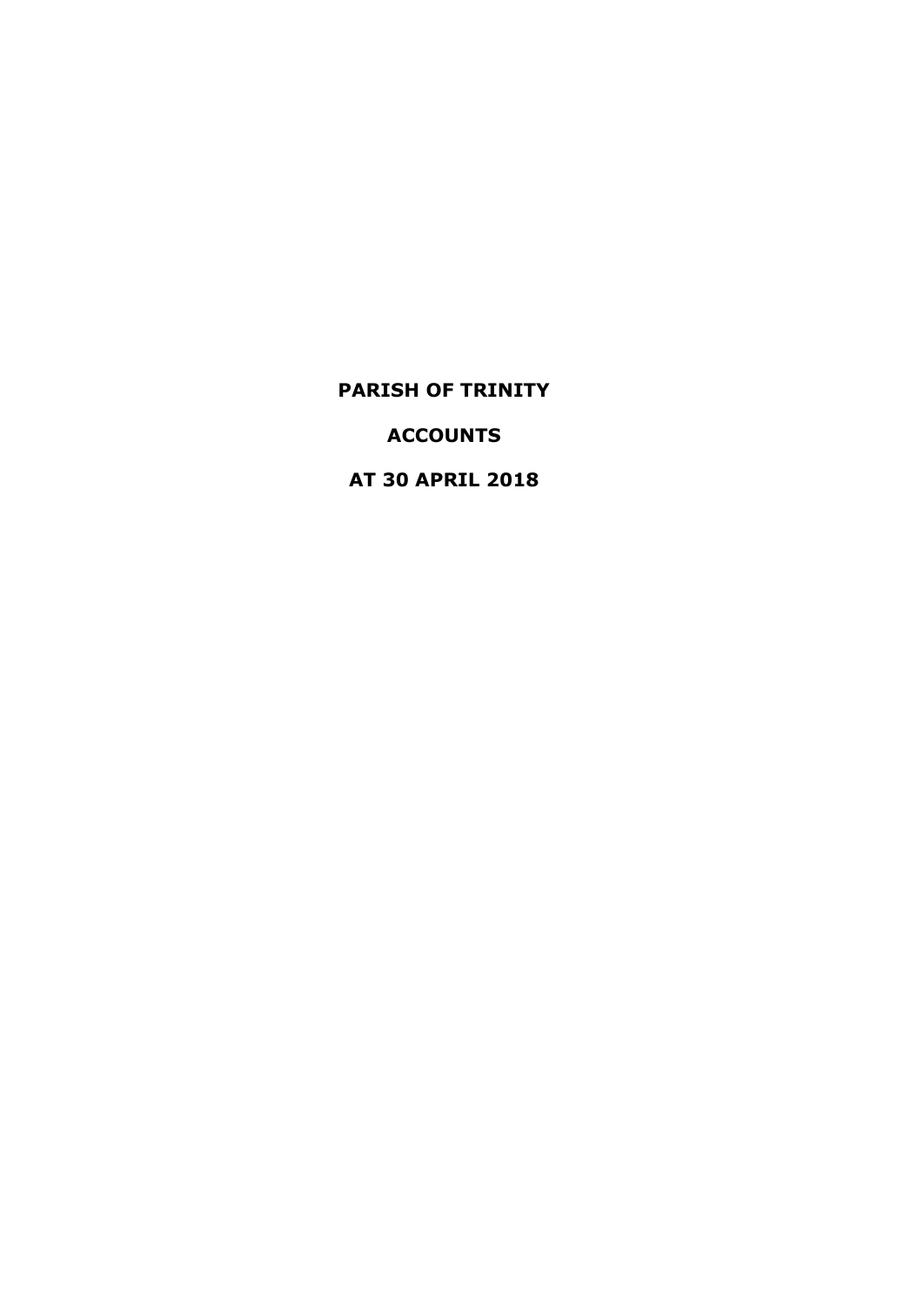**ACCOUNTS**

**AT 30 APRIL 2018**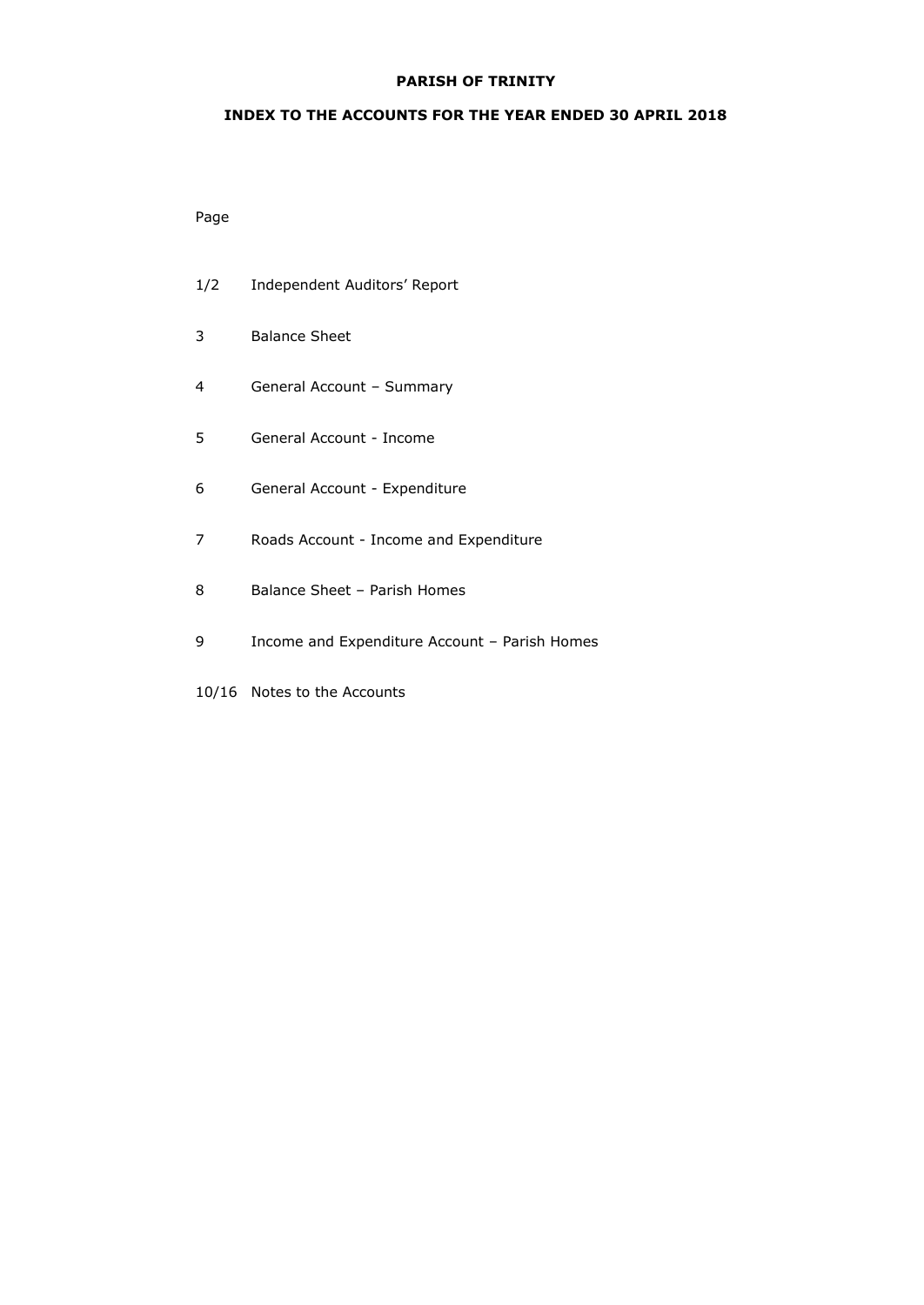## **INDEX TO THE ACCOUNTS FOR THE YEAR ENDED 30 APRIL 2018**

## Page

- 1/2 Independent Auditors' Report 3 Balance Sheet
- 4 General Account Summary
- 5 General Account Income
- 6 General Account Expenditure
- 7 Roads Account Income and Expenditure
- 8 Balance Sheet Parish Homes
- 9 Income and Expenditure Account Parish Homes
- 10/16 Notes to the Accounts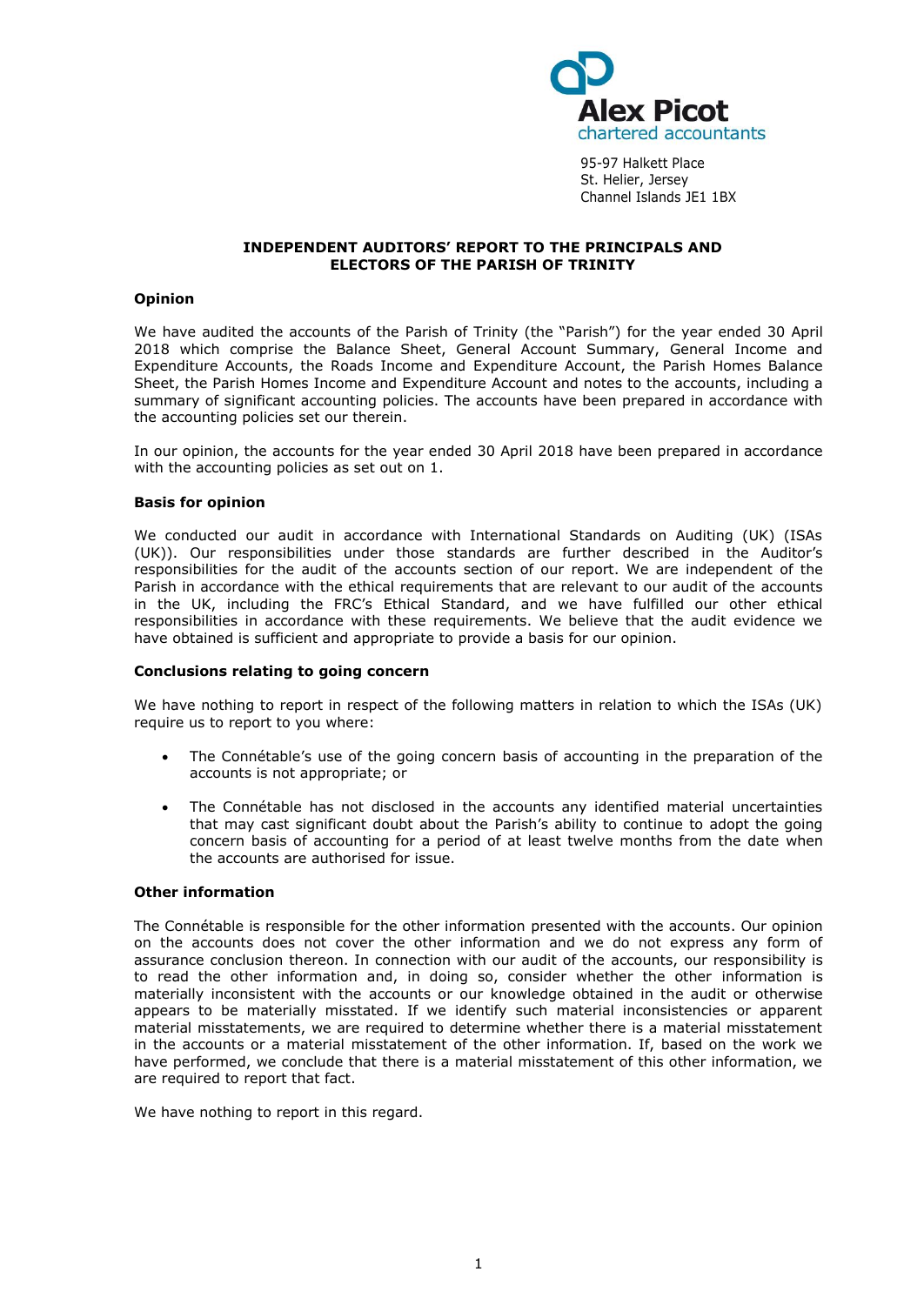

95-97 Halkett Place St. Helier, Jersey Channel Islands JE1 1BX

#### **INDEPENDENT AUDITORS' REPORT TO THE PRINCIPALS AND ELECTORS OF THE PARISH OF TRINITY**

## **Opinion**

We have audited the accounts of the Parish of Trinity (the "Parish") for the year ended 30 April 2018 which comprise the Balance Sheet, General Account Summary, General Income and Expenditure Accounts, the Roads Income and Expenditure Account, the Parish Homes Balance Sheet, the Parish Homes Income and Expenditure Account and notes to the accounts, including a summary of significant accounting policies. The accounts have been prepared in accordance with the accounting policies set our therein.

In our opinion, the accounts for the year ended 30 April 2018 have been prepared in accordance with the accounting policies as set out on 1.

#### **Basis for opinion**

We conducted our audit in accordance with International Standards on Auditing (UK) (ISAs (UK)). Our responsibilities under those standards are further described in the Auditor's responsibilities for the audit of the accounts section of our report. We are independent of the Parish in accordance with the ethical requirements that are relevant to our audit of the accounts in the UK, including the FRC's [Ethical Standard,](https://library.cch.co.uk/apbes2016r1) and we have fulfilled our other ethical responsibilities in accordance with these requirements. We believe that the audit evidence we have obtained is sufficient and appropriate to provide a basis for our opinion.

#### **Conclusions relating to going concern**

We have nothing to report in respect of the following matters in relation to which the ISAs (UK) require us to report to you where:

- The Connétable's use of the going concern basis of accounting in the preparation of the accounts is not appropriate; or
- The Connétable has not disclosed in the accounts any identified material uncertainties that may cast significant doubt about the Parish's ability to continue to adopt the going concern basis of accounting for a period of at least twelve months from the date when the accounts are authorised for issue.

#### **Other information**

The Connétable is responsible for the other information presented with the accounts. Our opinion on the accounts does not cover the other information and we do not express any form of assurance conclusion thereon. In connection with our audit of the accounts, our responsibility is to read the other information and, in doing so, consider whether the other information is materially inconsistent with the accounts or our knowledge obtained in the audit or otherwise appears to be materially misstated. If we identify such material inconsistencies or apparent material misstatements, we are required to determine whether there is a material misstatement in the accounts or a material misstatement of the other information. If, based on the work we have performed, we conclude that there is a material misstatement of this other information, we are required to report that fact.

We have nothing to report in this regard.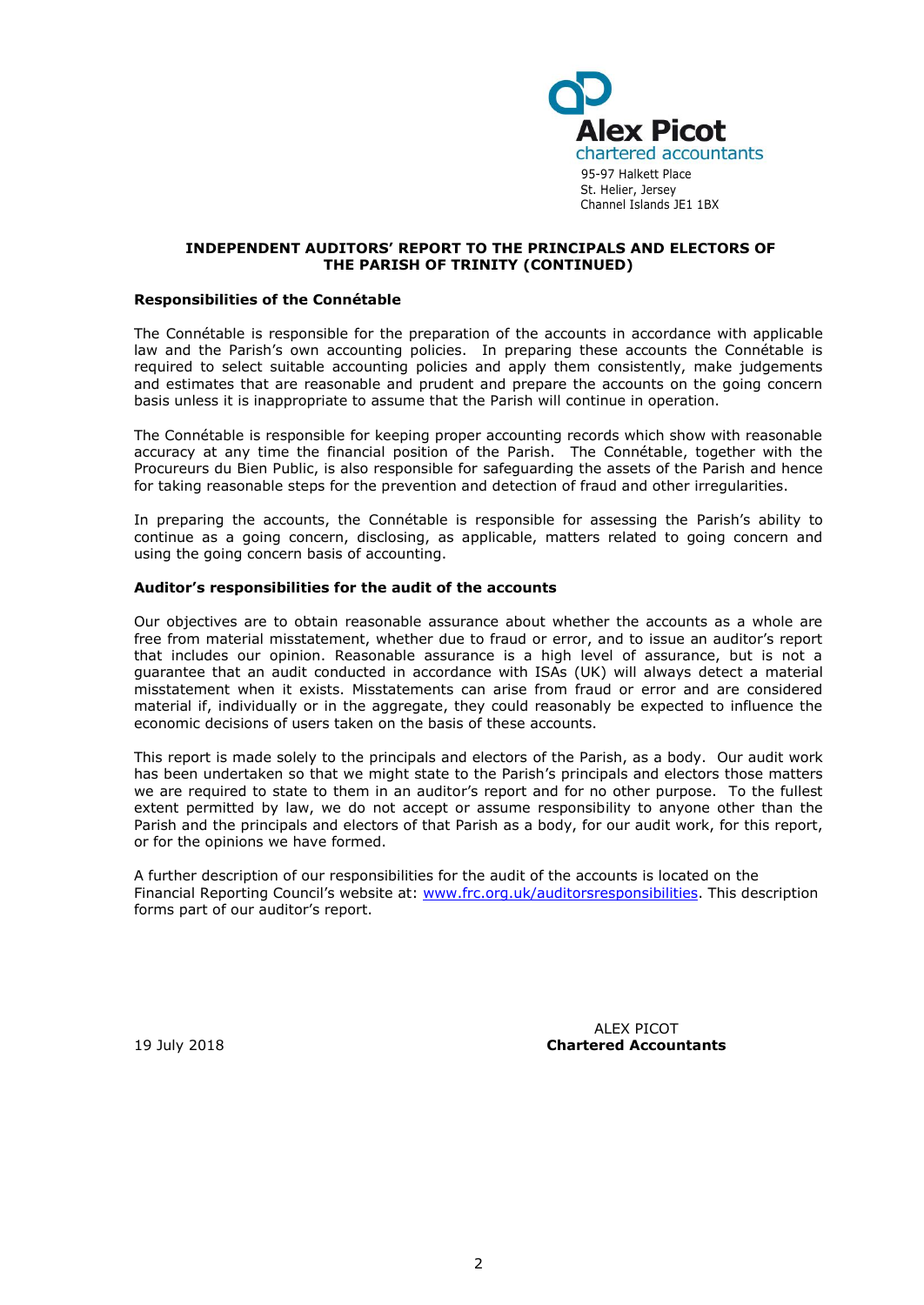

#### **INDEPENDENT AUDITORS' REPORT TO THE PRINCIPALS AND ELECTORS OF THE PARISH OF TRINITY (CONTINUED)**

#### **Responsibilities of the Connétable**

The Connétable is responsible for the preparation of the accounts in accordance with applicable law and the Parish's own accounting policies. In preparing these accounts the Connétable is required to select suitable accounting policies and apply them consistently, make judgements and estimates that are reasonable and prudent and prepare the accounts on the going concern basis unless it is inappropriate to assume that the Parish will continue in operation.

The Connétable is responsible for keeping proper accounting records which show with reasonable accuracy at any time the financial position of the Parish. The Connétable, together with the Procureurs du Bien Public, is also responsible for safeguarding the assets of the Parish and hence for taking reasonable steps for the prevention and detection of fraud and other irregularities.

In preparing the accounts, the Connétable is responsible for assessing the Parish's ability to continue as a going concern, disclosing, as applicable, matters related to going concern and using the going concern basis of accounting.

#### **Auditor's responsibilities for the audit of the accounts**

Our objectives are to obtain reasonable assurance about whether the accounts as a whole are free from material misstatement, whether due to fraud or error, and to issue an auditor's report that includes our opinion. Reasonable assurance is a high level of assurance, but is not a guarantee that an audit conducted in accordance with ISAs (UK) will always detect a material misstatement when it exists. Misstatements can arise from fraud or error and are considered material if, individually or in the aggregate, they could reasonably be expected to influence the economic decisions of users taken on the basis of these accounts.

This report is made solely to the principals and electors of the Parish, as a body. Our audit work has been undertaken so that we might state to the Parish's principals and electors those matters we are required to state to them in an auditor's report and for no other purpose. To the fullest extent permitted by law, we do not accept or assume responsibility to anyone other than the Parish and the principals and electors of that Parish as a body, for our audit work, for this report, or for the opinions we have formed.

A further description of our responsibilities for the audit of the accounts is located on the Financial Reporting Council's website at: [www.frc.org.uk/auditorsresponsibilities.](http://www.frc.org.uk/auditorsresponsibilities) This description forms part of our auditor's report.

ALEX PICOT 19 July 2018 **Chartered Accountants**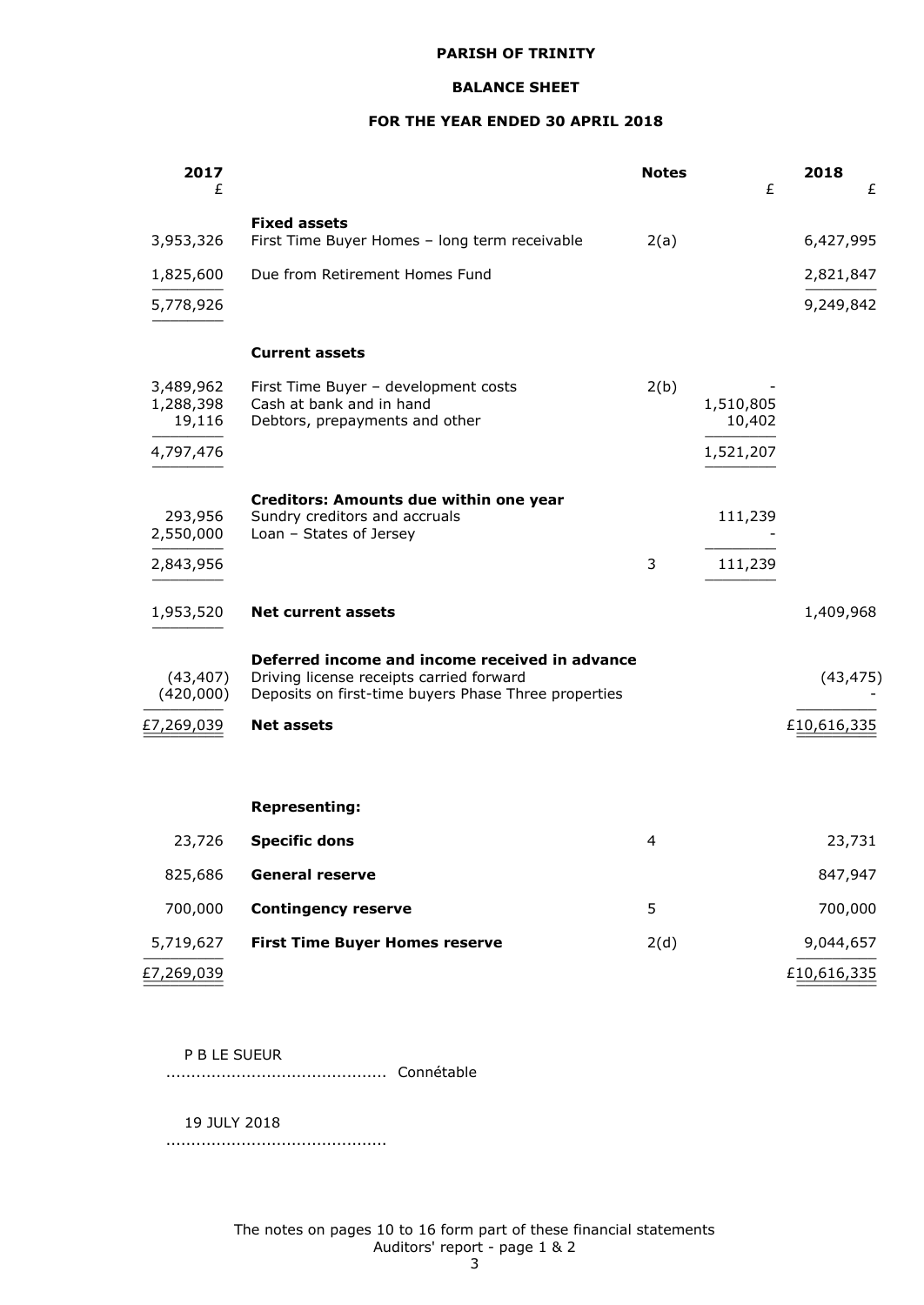#### **BALANCE SHEET**

## **FOR THE YEAR ENDED 30 APRIL 2018**

| 2017<br>£                        |                                                                                                                                                    | <b>Notes</b> | £                   | 2018        | £      |
|----------------------------------|----------------------------------------------------------------------------------------------------------------------------------------------------|--------------|---------------------|-------------|--------|
|                                  | <b>Fixed assets</b><br>First Time Buyer Homes - long term receivable                                                                               |              |                     |             |        |
| 3,953,326                        |                                                                                                                                                    | 2(a)         |                     | 6,427,995   |        |
| 1,825,600                        | Due from Retirement Homes Fund                                                                                                                     |              |                     | 2,821,847   |        |
| 5,778,926                        |                                                                                                                                                    |              |                     | 9,249,842   |        |
|                                  | <b>Current assets</b>                                                                                                                              |              |                     |             |        |
| 3,489,962<br>1,288,398<br>19,116 | First Time Buyer - development costs<br>Cash at bank and in hand<br>Debtors, prepayments and other                                                 | 2(b)         | 1,510,805<br>10,402 |             |        |
| 4,797,476                        |                                                                                                                                                    |              | 1,521,207           |             |        |
| 293,956<br>2,550,000             | Creditors: Amounts due within one year<br>Sundry creditors and accruals<br>Loan - States of Jersey                                                 |              | 111,239             |             |        |
| 2,843,956                        |                                                                                                                                                    | 3            | 111,239             |             |        |
| 1,953,520                        | <b>Net current assets</b>                                                                                                                          |              |                     | 1,409,968   |        |
| (43, 407)<br>(420,000)           | Deferred income and income received in advance<br>Driving license receipts carried forward<br>Deposits on first-time buyers Phase Three properties |              |                     | (43, 475)   |        |
| £7,269,039                       | <b>Net assets</b>                                                                                                                                  |              |                     | £10,616,335 |        |
|                                  |                                                                                                                                                    |              |                     |             |        |
|                                  | <b>Representing:</b>                                                                                                                               |              |                     |             |        |
| 23,726                           | <b>Specific dons</b>                                                                                                                               | 4            |                     |             | 23,731 |
| 825,686                          | <b>General reserve</b>                                                                                                                             |              |                     | 847,947     |        |
| 700,000                          | <b>Contingency reserve</b>                                                                                                                         | 5            |                     | 700,000     |        |
| 5,719,627                        | <b>First Time Buyer Homes reserve</b>                                                                                                              | 2(d)         |                     | 9,044,657   |        |
| £7,269,039                       |                                                                                                                                                    |              |                     | £10,616,335 |        |

P B LE SUEUR

............................................ Connétable

19 JULY 2018

............................................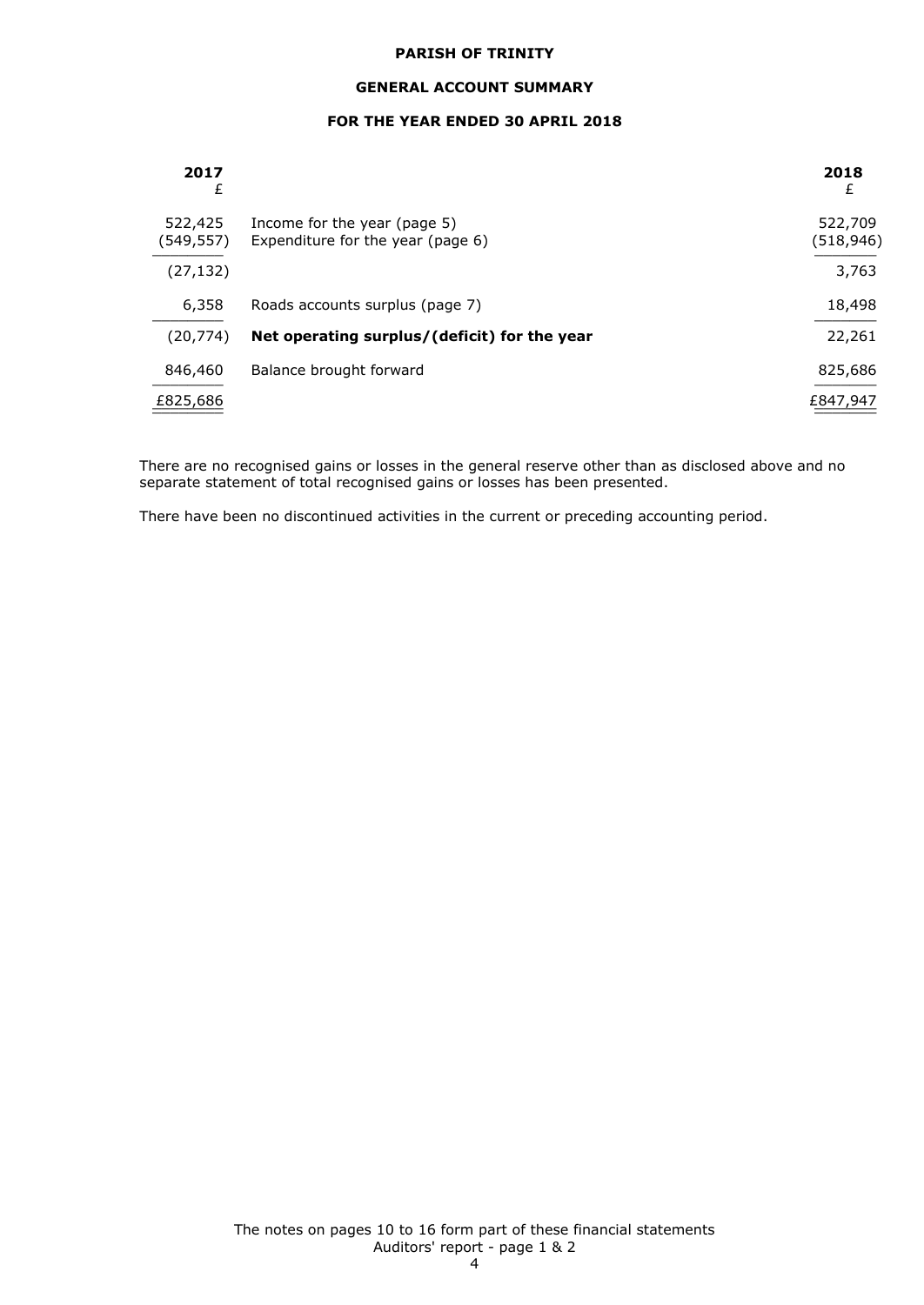#### **GENERAL ACCOUNT SUMMARY**

## **FOR THE YEAR ENDED 30 APRIL 2018**

| 2017<br>£            |                                                                   | 2018<br>£            |
|----------------------|-------------------------------------------------------------------|----------------------|
| 522,425<br>(549,557) | Income for the year (page 5)<br>Expenditure for the year (page 6) | 522,709<br>(518,946) |
| (27, 132)            |                                                                   | 3,763                |
| 6,358                | Roads accounts surplus (page 7)                                   | 18,498               |
| (20, 774)            | Net operating surplus/(deficit) for the year                      | 22,261               |
| 846,460              | Balance brought forward                                           | 825,686              |
| £825,686             |                                                                   | £847,947             |

There are no recognised gains or losses in the general reserve other than as disclosed above and no separate statement of total recognised gains or losses has been presented.

There have been no discontinued activities in the current or preceding accounting period.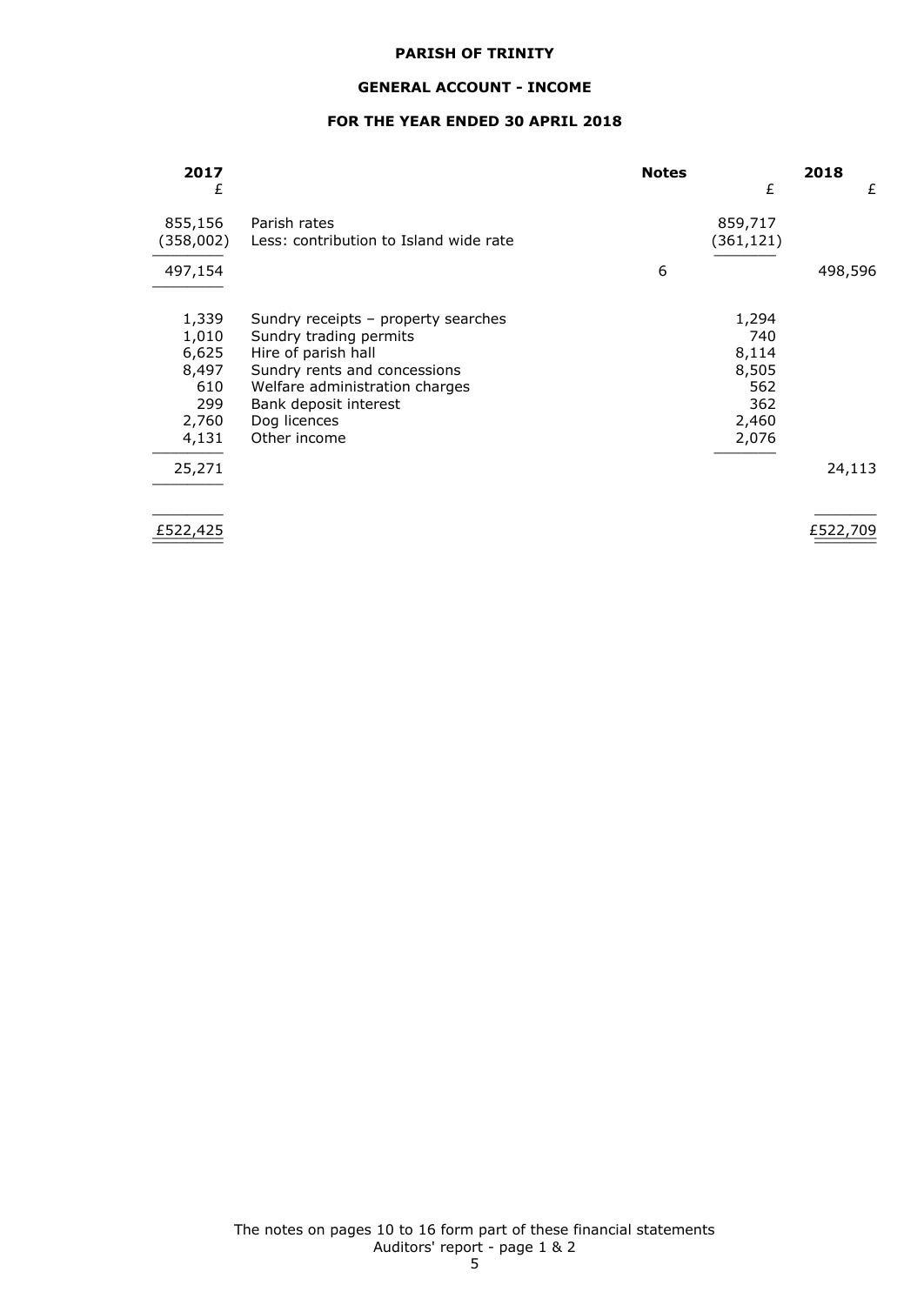## **GENERAL ACCOUNT - INCOME**

## **FOR THE YEAR ENDED 30 APRIL 2018**

| 2017      |                                        | <b>Notes</b> |           | 2018     |
|-----------|----------------------------------------|--------------|-----------|----------|
| £         |                                        |              | £         | £        |
| 855,156   | Parish rates                           |              | 859,717   |          |
| (358,002) | Less: contribution to Island wide rate |              | (361,121) |          |
| 497,154   |                                        | 6            |           | 498,596  |
|           |                                        |              |           |          |
| 1,339     | Sundry receipts - property searches    |              | 1,294     |          |
| 1,010     | Sundry trading permits                 |              | 740       |          |
| 6,625     | Hire of parish hall                    |              | 8,114     |          |
| 8,497     | Sundry rents and concessions           |              | 8,505     |          |
| 610       | Welfare administration charges         |              | 562       |          |
| 299       | Bank deposit interest                  |              | 362       |          |
| 2,760     | Dog licences                           |              | 2,460     |          |
| 4,131     | Other income                           |              | 2,076     |          |
| 25,271    |                                        |              |           | 24,113   |
|           |                                        |              |           |          |
| £522,425  |                                        |              |           | £522,709 |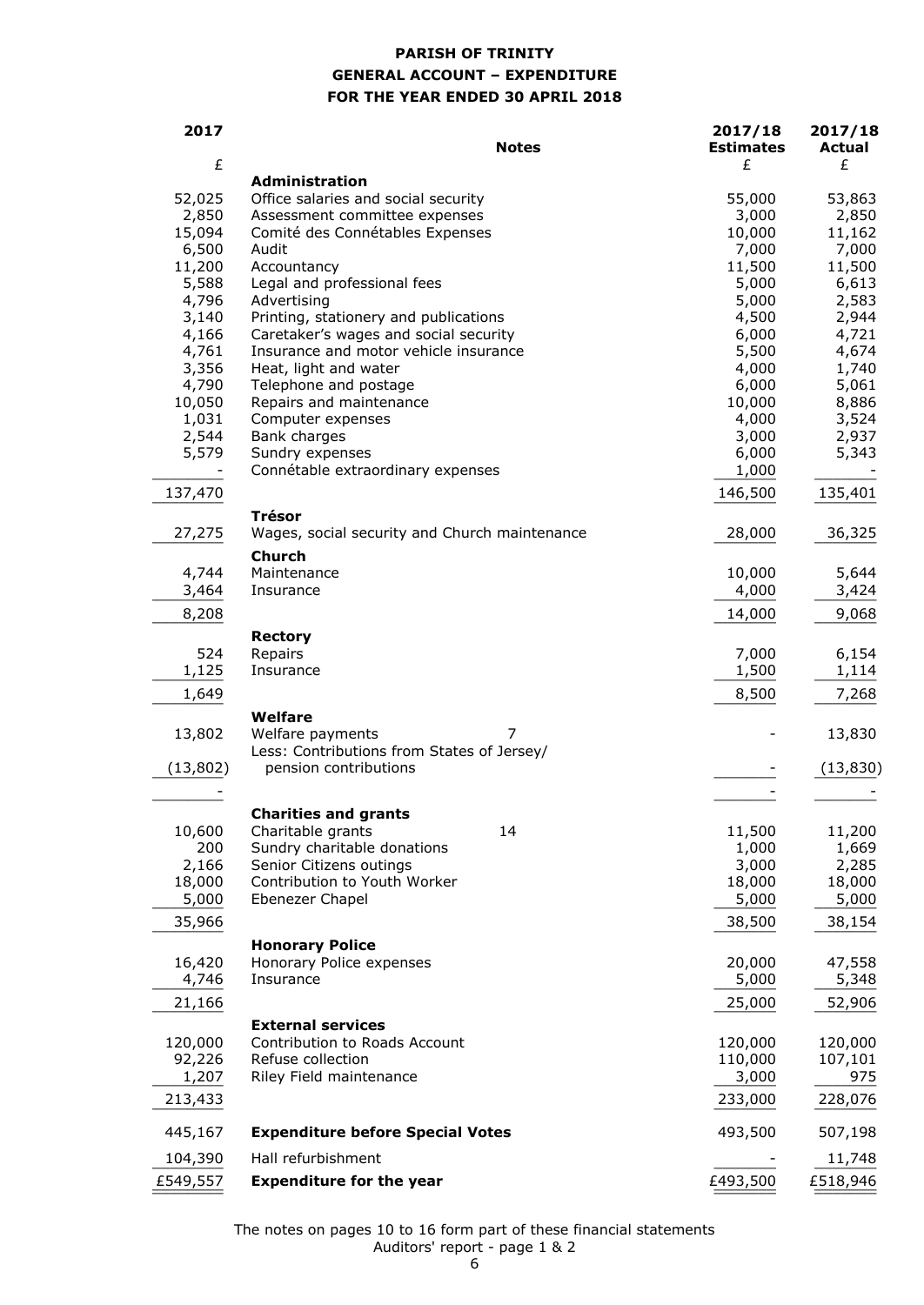# **PARISH OF TRINITY GENERAL ACCOUNT – EXPENDITURE FOR THE YEAR ENDED 30 APRIL 2018**

| 2017      | <b>Notes</b>                                          | 2017/18<br><b>Estimates</b> | 2017/18<br><b>Actual</b> |
|-----------|-------------------------------------------------------|-----------------------------|--------------------------|
| £         |                                                       | £                           | £                        |
| 52,025    | Administration<br>Office salaries and social security | 55,000                      | 53,863                   |
| 2,850     | Assessment committee expenses                         | 3,000                       | 2,850                    |
| 15,094    | Comité des Connétables Expenses                       | 10,000                      | 11,162                   |
| 6,500     | Audit                                                 | 7,000                       | 7,000                    |
| 11,200    | Accountancy                                           | 11,500                      | 11,500                   |
| 5,588     | Legal and professional fees                           | 5,000                       | 6,613                    |
| 4,796     | Advertising                                           | 5,000                       | 2,583                    |
| 3,140     | Printing, stationery and publications                 | 4,500                       | 2,944                    |
| 4,166     | Caretaker's wages and social security                 | 6,000                       | 4,721                    |
| 4,761     | Insurance and motor vehicle insurance                 | 5,500                       | 4,674                    |
| 3,356     | Heat, light and water                                 | 4,000                       | 1,740                    |
| 4,790     | Telephone and postage                                 | 6,000                       | 5,061                    |
| 10,050    | Repairs and maintenance                               | 10,000                      | 8,886                    |
| 1,031     | Computer expenses                                     | 4,000                       | 3,524                    |
| 2,544     | Bank charges                                          | 3,000                       | 2,937                    |
| 5,579     | Sundry expenses                                       | 6,000                       | 5,343                    |
|           | Connétable extraordinary expenses                     | 1,000                       |                          |
| 137,470   |                                                       | 146,500                     | 135,401                  |
|           | <b>Trésor</b>                                         |                             |                          |
| 27,275    | Wages, social security and Church maintenance         | 28,000                      | 36,325                   |
|           | <b>Church</b>                                         |                             |                          |
| 4,744     | Maintenance                                           | 10,000                      | 5,644                    |
| 3,464     | Insurance                                             | 4,000                       | 3,424                    |
| 8,208     |                                                       | 14,000                      | 9,068                    |
|           | <b>Rectory</b>                                        |                             |                          |
| 524       | Repairs                                               | 7,000                       | 6,154                    |
| 1,125     | Insurance                                             | 1,500                       | 1,114                    |
| 1,649     |                                                       | 8,500                       | 7,268                    |
|           | Welfare                                               |                             |                          |
| 13,802    | Welfare payments<br>7                                 |                             | 13,830                   |
|           | Less: Contributions from States of Jersey/            |                             |                          |
| (13, 802) | pension contributions                                 |                             | (13, 830)                |
|           |                                                       |                             |                          |
|           | <b>Charities and grants</b>                           |                             |                          |
| 10,600    | 14<br>Charitable grants                               | 11,500                      | 11,200                   |
| 200       | Sundry charitable donations                           | 1,000                       | 1,669                    |
| 2,166     | Senior Citizens outings                               | 3,000                       | 2,285                    |
| 18,000    | Contribution to Youth Worker                          | 18,000                      | 18,000                   |
| 5,000     | Ebenezer Chapel                                       | 5,000                       | 5,000                    |
| 35,966    |                                                       | 38,500                      | 38,154                   |
|           | <b>Honorary Police</b>                                |                             |                          |
| 16,420    | Honorary Police expenses                              | 20,000                      | 47,558                   |
| 4,746     | Insurance                                             | 5,000                       | 5,348                    |
| 21,166    |                                                       | 25,000                      | 52,906                   |
|           | <b>External services</b>                              |                             |                          |
| 120,000   | Contribution to Roads Account                         | 120,000                     | 120,000                  |
| 92,226    | Refuse collection                                     | 110,000                     | 107,101                  |
| 1,207     | Riley Field maintenance                               | 3,000                       | 975                      |
| 213,433   |                                                       | 233,000                     | 228,076                  |
| 445,167   | <b>Expenditure before Special Votes</b>               | 493,500                     | 507,198                  |
| 104,390   | Hall refurbishment                                    |                             | 11,748                   |
| £549,557  | <b>Expenditure for the year</b>                       | £493,500                    | £518,946                 |
|           |                                                       |                             |                          |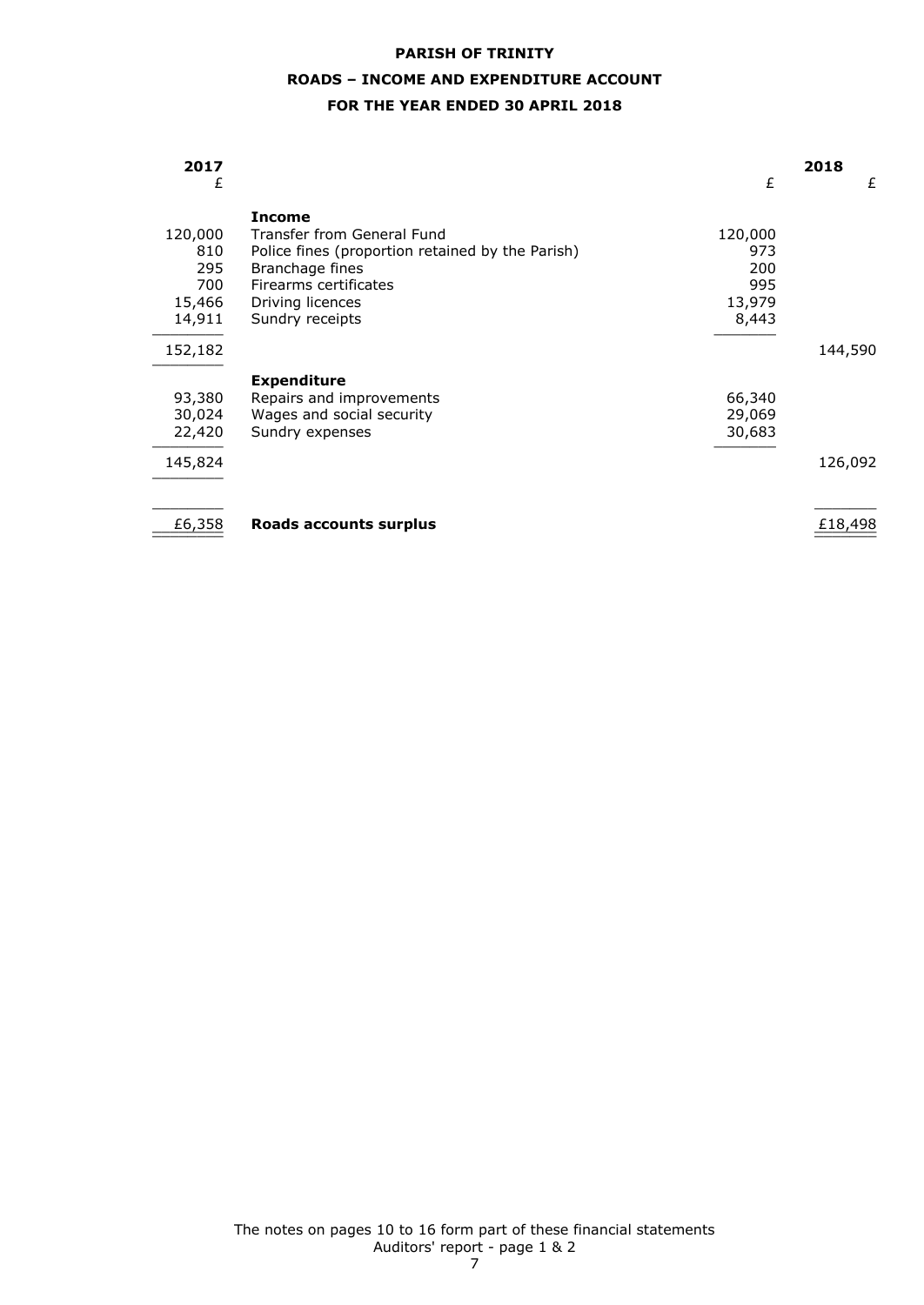# **ROADS – INCOME AND EXPENDITURE ACCOUNT**

## **FOR THE YEAR ENDED 30 APRIL 2018**

| 2017<br>£      |                                                                     | £              | 2018<br>£ |
|----------------|---------------------------------------------------------------------|----------------|-----------|
|                | <b>Income</b>                                                       |                |           |
| 120,000<br>810 | Transfer from General Fund                                          | 120,000<br>973 |           |
| 295            | Police fines (proportion retained by the Parish)<br>Branchage fines | 200            |           |
| 700            | Firearms certificates                                               | 995            |           |
| 15,466         | Driving licences                                                    | 13,979         |           |
| 14,911         | Sundry receipts                                                     | 8,443          |           |
|                |                                                                     |                |           |
| 152,182        |                                                                     |                | 144,590   |
|                | <b>Expenditure</b>                                                  |                |           |
| 93,380         | Repairs and improvements                                            | 66,340         |           |
| 30,024         | Wages and social security                                           | 29,069         |           |
| 22,420         | Sundry expenses                                                     | 30,683         |           |
| 145,824        |                                                                     |                | 126,092   |
| £6,358         | Roads accounts surplus                                              |                | £18,498   |
|                |                                                                     |                |           |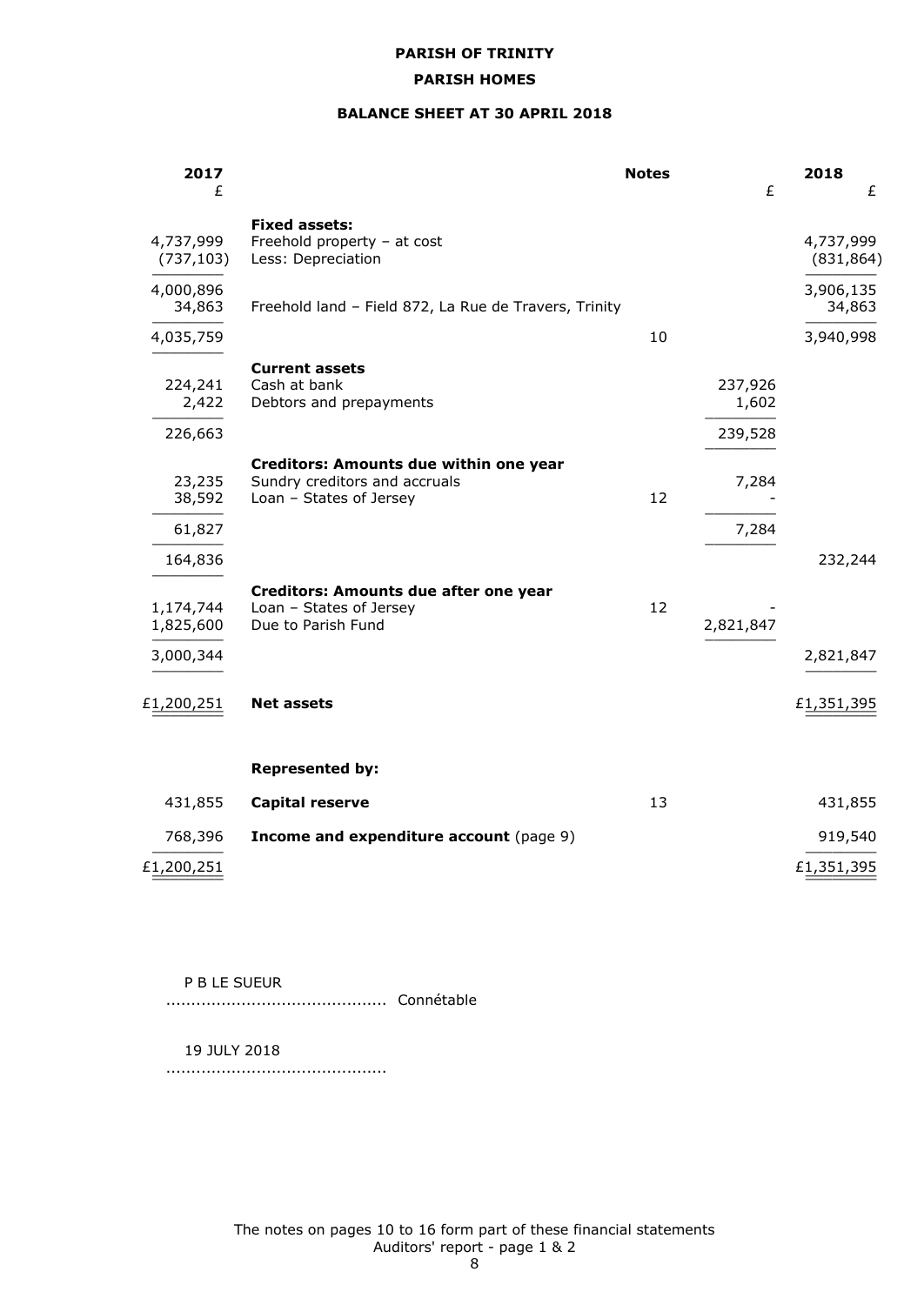## **PARISH HOMES**

## **BALANCE SHEET AT 30 APRIL 2018**

| 2017<br>£                                      |                                                                                                    | <b>Notes</b> | £                           | 2018<br>£               |
|------------------------------------------------|----------------------------------------------------------------------------------------------------|--------------|-----------------------------|-------------------------|
| 4,737,999<br>(737, 103)                        | <b>Fixed assets:</b><br>Freehold property - at cost<br>Less: Depreciation                          |              |                             | 4,737,999<br>(831, 864) |
| 4,000,896<br>34,863                            | Freehold land - Field 872, La Rue de Travers, Trinity                                              |              |                             | 3,906,135<br>34,863     |
| 4,035,759                                      |                                                                                                    | 10           |                             | 3,940,998               |
| 224,241<br>2,422<br>226,663                    | <b>Current assets</b><br>Cash at bank<br>Debtors and prepayments                                   |              | 237,926<br>1,602<br>239,528 |                         |
| 23,235<br>38,592                               | Creditors: Amounts due within one year<br>Sundry creditors and accruals<br>Loan - States of Jersey | 12           | 7,284                       |                         |
| 61,827                                         |                                                                                                    |              | 7,284                       |                         |
| 164,836<br>1,174,744<br>1,825,600<br>3,000,344 | Creditors: Amounts due after one year<br>Loan - States of Jersey<br>Due to Parish Fund             | 12           | 2,821,847                   | 232,244<br>2,821,847    |
| £1,200,251                                     | <b>Net assets</b>                                                                                  |              |                             | £1,351,395              |
|                                                | <b>Represented by:</b>                                                                             |              |                             |                         |
| 431,855                                        | <b>Capital reserve</b>                                                                             | 13           |                             | 431,855                 |
| 768,396                                        | Income and expenditure account (page 9)                                                            |              |                             | 919,540                 |
| £1,200,251                                     |                                                                                                    |              |                             | £1,351,395              |

P B LE SUEUR

............................................ Connétable

19 JULY 2018

............................................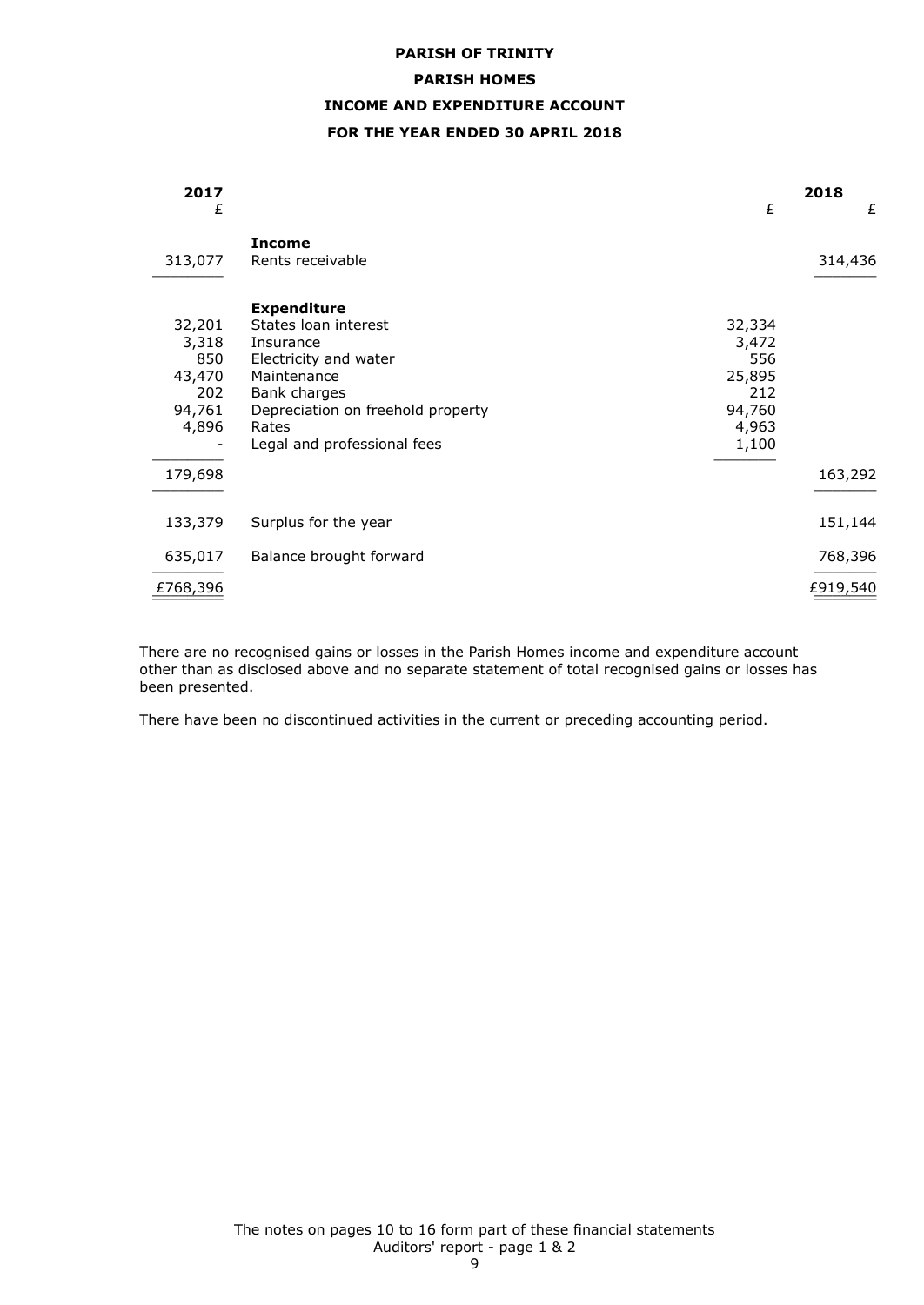# **PARISH OF TRINITY PARISH HOMES INCOME AND EXPENDITURE ACCOUNT FOR THE YEAR ENDED 30 APRIL 2018**

| 2017<br>£                                                  |                                                                                                                                                                                              | £                                                                   | 2018<br>£ |
|------------------------------------------------------------|----------------------------------------------------------------------------------------------------------------------------------------------------------------------------------------------|---------------------------------------------------------------------|-----------|
| 313,077                                                    | <b>Income</b><br>Rents receivable                                                                                                                                                            |                                                                     | 314,436   |
| 32,201<br>3,318<br>850<br>43,470<br>202<br>94,761<br>4,896 | <b>Expenditure</b><br>States loan interest<br>Insurance<br>Electricity and water<br>Maintenance<br>Bank charges<br>Depreciation on freehold property<br>Rates<br>Legal and professional fees | 32,334<br>3,472<br>556<br>25,895<br>212<br>94,760<br>4,963<br>1,100 |           |
| 179,698                                                    |                                                                                                                                                                                              |                                                                     | 163,292   |
| 133,379                                                    | Surplus for the year                                                                                                                                                                         |                                                                     | 151,144   |
| 635,017                                                    | Balance brought forward                                                                                                                                                                      |                                                                     | 768,396   |
| £768,396                                                   |                                                                                                                                                                                              |                                                                     | £919,540  |

There are no recognised gains or losses in the Parish Homes income and expenditure account other than as disclosed above and no separate statement of total recognised gains or losses has been presented.

There have been no discontinued activities in the current or preceding accounting period.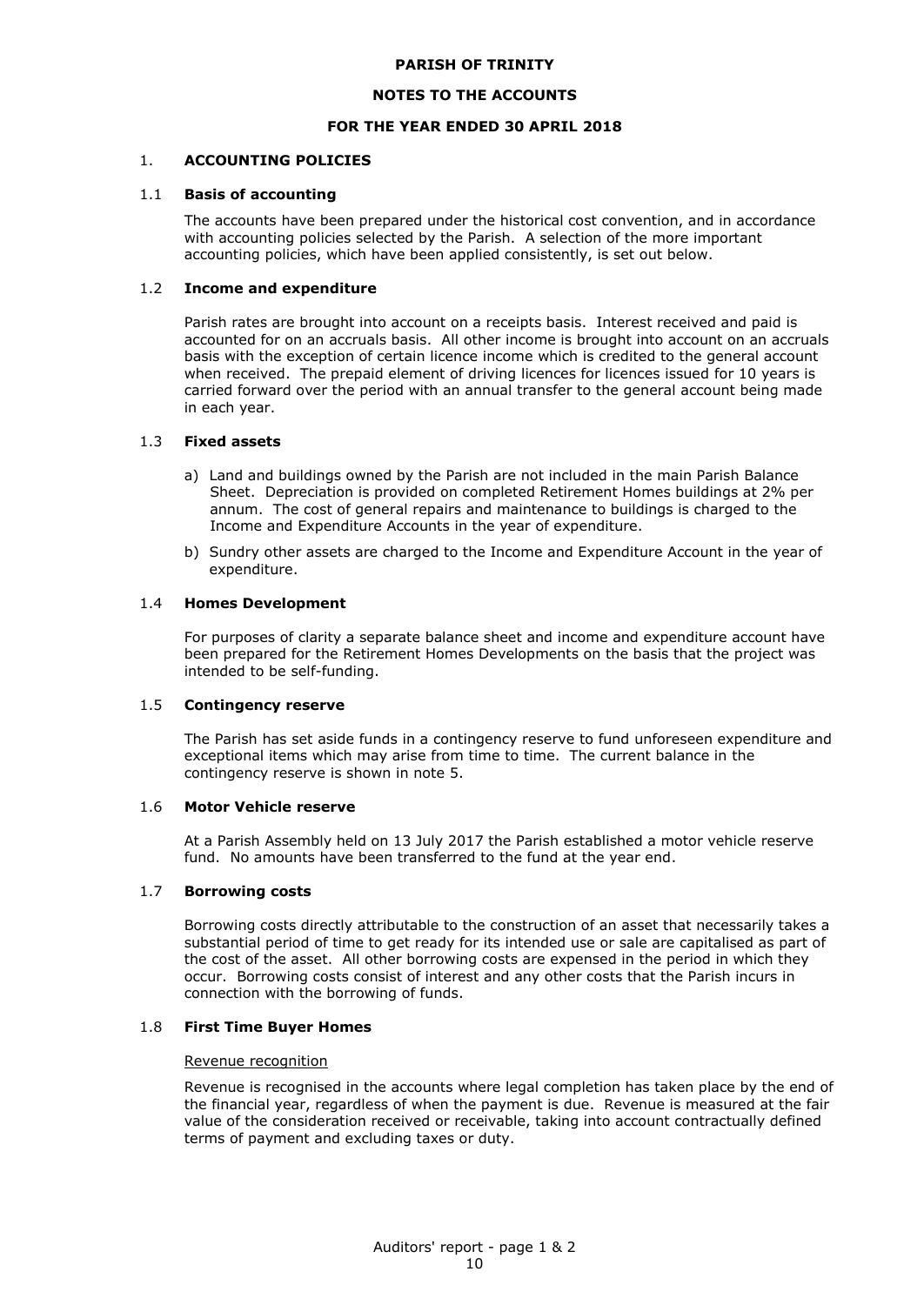#### **NOTES TO THE ACCOUNTS**

#### **FOR THE YEAR ENDED 30 APRIL 2018**

#### 1. **ACCOUNTING POLICIES**

#### 1.1 **Basis of accounting**

The accounts have been prepared under the historical cost convention, and in accordance with accounting policies selected by the Parish. A selection of the more important accounting policies, which have been applied consistently, is set out below.

#### 1.2 **Income and expenditure**

Parish rates are brought into account on a receipts basis. Interest received and paid is accounted for on an accruals basis. All other income is brought into account on an accruals basis with the exception of certain licence income which is credited to the general account when received. The prepaid element of driving licences for licences issued for 10 years is carried forward over the period with an annual transfer to the general account being made in each year.

#### 1.3 **Fixed assets**

- a) Land and buildings owned by the Parish are not included in the main Parish Balance Sheet. Depreciation is provided on completed Retirement Homes buildings at 2% per annum. The cost of general repairs and maintenance to buildings is charged to the Income and Expenditure Accounts in the year of expenditure.
- b) Sundry other assets are charged to the Income and Expenditure Account in the year of expenditure.

#### 1.4 **Homes Development**

For purposes of clarity a separate balance sheet and income and expenditure account have been prepared for the Retirement Homes Developments on the basis that the project was intended to be self-funding.

## 1.5 **Contingency reserve**

The Parish has set aside funds in a contingency reserve to fund unforeseen expenditure and exceptional items which may arise from time to time. The current balance in the contingency reserve is shown in note 5.

#### 1.6 **Motor Vehicle reserve**

At a Parish Assembly held on 13 July 2017 the Parish established a motor vehicle reserve fund. No amounts have been transferred to the fund at the year end.

#### 1.7 **Borrowing costs**

Borrowing costs directly attributable to the construction of an asset that necessarily takes a substantial period of time to get ready for its intended use or sale are capitalised as part of the cost of the asset. All other borrowing costs are expensed in the period in which they occur. Borrowing costs consist of interest and any other costs that the Parish incurs in connection with the borrowing of funds.

#### 1.8 **First Time Buyer Homes**

#### Revenue recognition

Revenue is recognised in the accounts where legal completion has taken place by the end of the financial year, regardless of when the payment is due. Revenue is measured at the fair value of the consideration received or receivable, taking into account contractually defined terms of payment and excluding taxes or duty.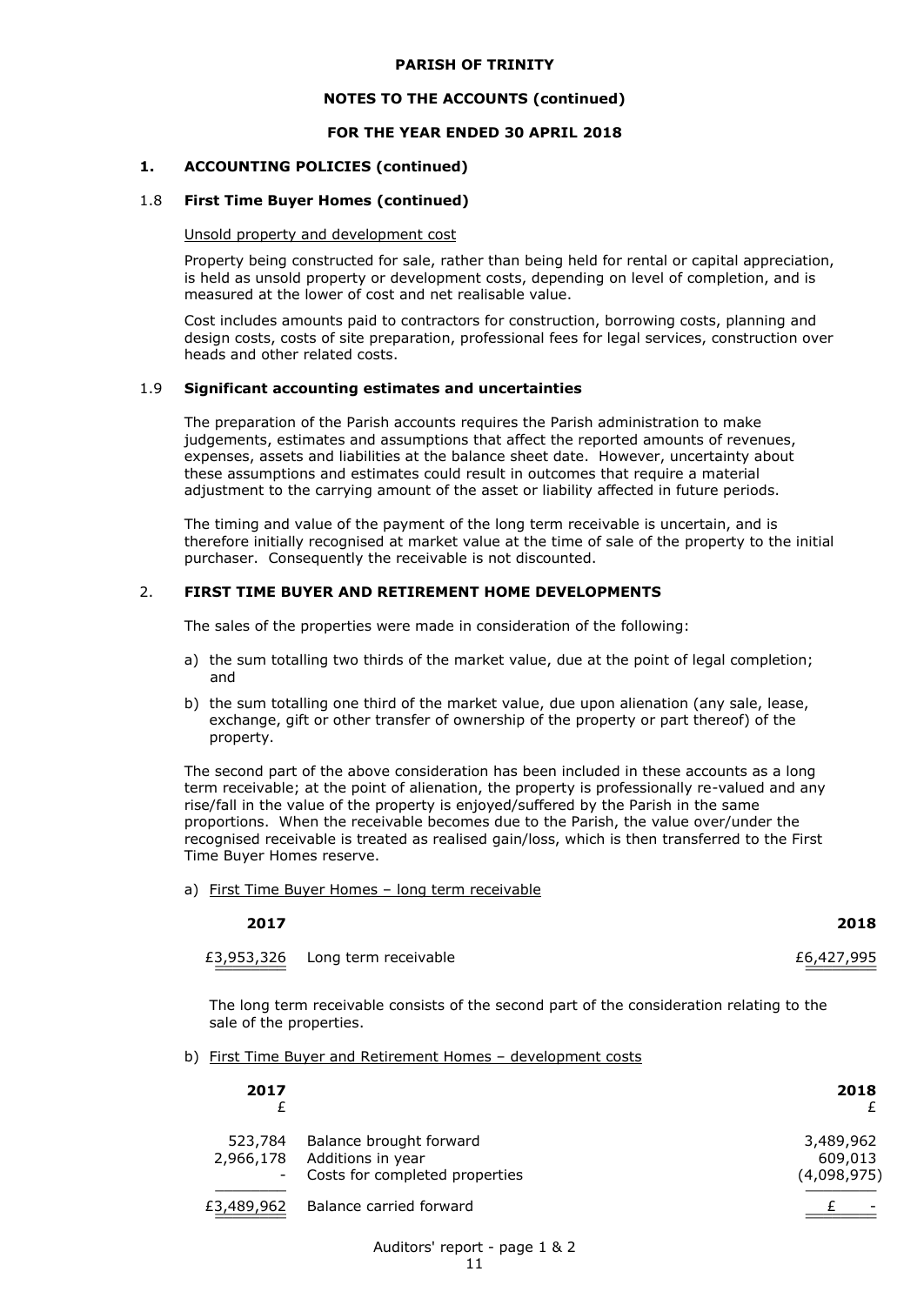#### **NOTES TO THE ACCOUNTS (continued)**

#### **FOR THE YEAR ENDED 30 APRIL 2018**

#### **1. ACCOUNTING POLICIES (continued)**

#### 1.8 **First Time Buyer Homes (continued)**

#### Unsold property and development cost

Property being constructed for sale, rather than being held for rental or capital appreciation, is held as unsold property or development costs, depending on level of completion, and is measured at the lower of cost and net realisable value.

Cost includes amounts paid to contractors for construction, borrowing costs, planning and design costs, costs of site preparation, professional fees for legal services, construction over heads and other related costs.

#### 1.9 **Significant accounting estimates and uncertainties**

The preparation of the Parish accounts requires the Parish administration to make judgements, estimates and assumptions that affect the reported amounts of revenues, expenses, assets and liabilities at the balance sheet date. However, uncertainty about these assumptions and estimates could result in outcomes that require a material adjustment to the carrying amount of the asset or liability affected in future periods.

The timing and value of the payment of the long term receivable is uncertain, and is therefore initially recognised at market value at the time of sale of the property to the initial purchaser. Consequently the receivable is not discounted.

#### 2. **FIRST TIME BUYER AND RETIREMENT HOME DEVELOPMENTS**

The sales of the properties were made in consideration of the following:

- a) the sum totalling two thirds of the market value, due at the point of legal completion; and
- b) the sum totalling one third of the market value, due upon alienation (any sale, lease, exchange, gift or other transfer of ownership of the property or part thereof) of the property.

The second part of the above consideration has been included in these accounts as a long term receivable; at the point of alienation, the property is professionally re-valued and any rise/fall in the value of the property is enjoyed/suffered by the Parish in the same proportions. When the receivable becomes due to the Parish, the value over/under the recognised receivable is treated as realised gain/loss, which is then transferred to the First Time Buyer Homes reserve.

a) First Time Buyer Homes – long term receivable

| 2017 | 2018 |
|------|------|
|      |      |

£3,953,326 \_\_\_\_\_\_\_\_ \_\_\_\_\_\_\_\_ Long term receivable  $£6,427,995$ 

The long term receivable consists of the second part of the consideration relating to the sale of the properties.

b) First Time Buyer and Retirement Homes - development costs

| 2017                                             |                                                                                | 2018                                |
|--------------------------------------------------|--------------------------------------------------------------------------------|-------------------------------------|
| 523,784<br>2,966,178<br>$\overline{\phantom{a}}$ | Balance brought forward<br>Additions in year<br>Costs for completed properties | 3,489,962<br>609,013<br>(4,098,975) |
| £3,489,962                                       | Balance carried forward                                                        |                                     |

#### Auditors' report - page 1 & 2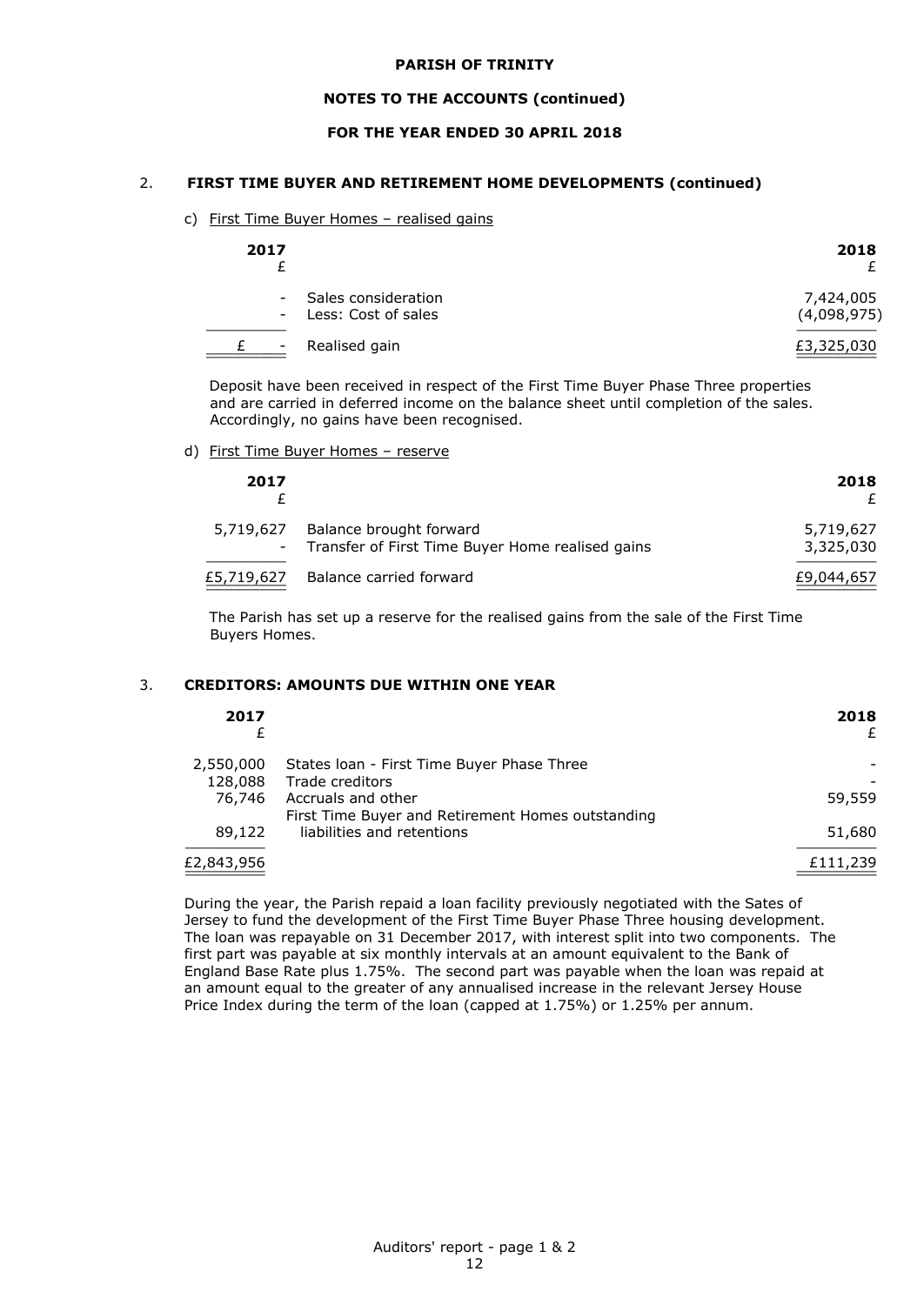#### **NOTES TO THE ACCOUNTS (continued)**

## **FOR THE YEAR ENDED 30 APRIL 2018**

#### 2. **FIRST TIME BUYER AND RETIREMENT HOME DEVELOPMENTS (continued)**

#### c) First Time Buyer Homes – realised gains

| 2017 |                                                | 2018                     |
|------|------------------------------------------------|--------------------------|
|      | - Sales consideration<br>- Less: Cost of sales | 7,424,005<br>(4,098,975) |
| н.   | Realised gain                                  | £3,325,030               |

Deposit have been received in respect of the First Time Buyer Phase Three properties and are carried in deferred income on the balance sheet until completion of the sales. Accordingly, no gains have been recognised.

#### d) First Time Buyer Homes - reserve

| 2017       |                                                                               | 2018                   |
|------------|-------------------------------------------------------------------------------|------------------------|
| 5,719,627  | Balance brought forward<br>- Transfer of First Time Buyer Home realised gains | 5,719,627<br>3,325,030 |
| £5,719,627 | Balance carried forward                                                       | £9,044,657             |

The Parish has set up a reserve for the realised gains from the sale of the First Time Buyers Homes.

#### 3. **CREDITORS: AMOUNTS DUE WITHIN ONE YEAR**

| 2017       |                                                                         | 2018<br>£ |
|------------|-------------------------------------------------------------------------|-----------|
| 2,550,000  | States Ioan - First Time Buyer Phase Three                              |           |
| 128,088    | Trade creditors                                                         |           |
| 76,746     | Accruals and other<br>First Time Buyer and Retirement Homes outstanding | 59,559    |
| 89,122     | liabilities and retentions                                              | 51,680    |
| £2,843,956 |                                                                         | £111,239  |

During the year, the Parish repaid a loan facility previously negotiated with the Sates of Jersey to fund the development of the First Time Buyer Phase Three housing development. The loan was repayable on 31 December 2017, with interest split into two components. The first part was payable at six monthly intervals at an amount equivalent to the Bank of England Base Rate plus 1.75%. The second part was payable when the loan was repaid at an amount equal to the greater of any annualised increase in the relevant Jersey House Price Index during the term of the loan (capped at 1.75%) or 1.25% per annum.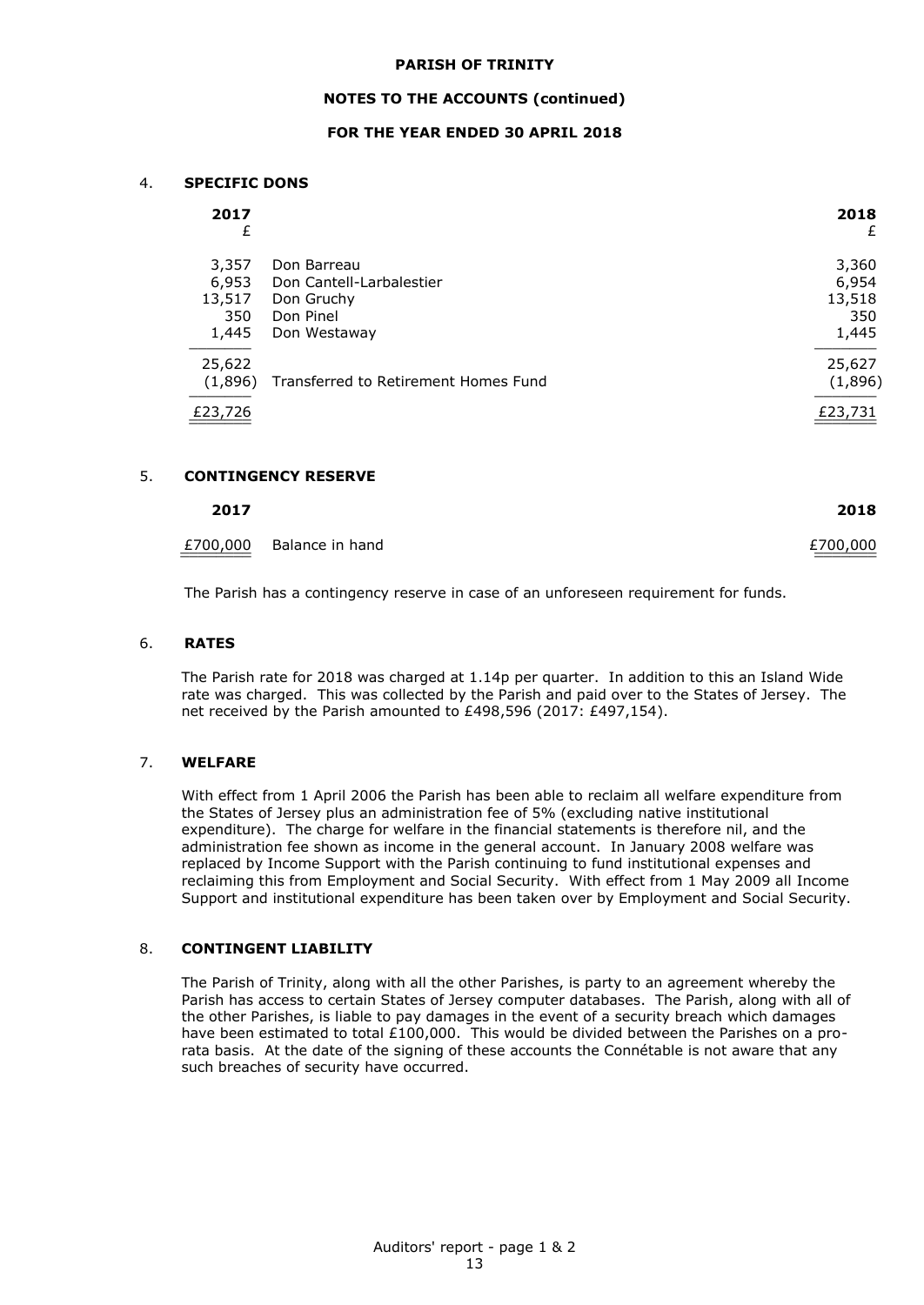#### **NOTES TO THE ACCOUNTS (continued)**

## **FOR THE YEAR ENDED 30 APRIL 2018**

#### 4. **SPECIFIC DONS**

| 2017<br>£                                |                                                                                    | 2018<br>£                                |
|------------------------------------------|------------------------------------------------------------------------------------|------------------------------------------|
| 3,357<br>6,953<br>13,517<br>350<br>1,445 | Don Barreau<br>Don Cantell-Larbalestier<br>Don Gruchy<br>Don Pinel<br>Don Westaway | 3,360<br>6,954<br>13,518<br>350<br>1,445 |
| 25,622<br>(1,896)<br>£23,726             | Transferred to Retirement Homes Fund                                               | 25,627<br>(1,896)<br>£23,731             |

#### 5. **CONTINGENCY RESERVE**

| 2017<br>______ | 2018<br>_____ |
|----------------|---------------|
|                |               |

£700,000  $E$ 700,000  $E$ Balance in hand  $E$ 700,000  $\frac{2700,000}{2000}$ 

The Parish has a contingency reserve in case of an unforeseen requirement for funds.

#### 6. **RATES**

The Parish rate for 2018 was charged at 1.14p per quarter. In addition to this an Island Wide rate was charged. This was collected by the Parish and paid over to the States of Jersey. The net received by the Parish amounted to £498,596 (2017: £497,154).

#### 7. **WELFARE**

With effect from 1 April 2006 the Parish has been able to reclaim all welfare expenditure from the States of Jersey plus an administration fee of 5% (excluding native institutional expenditure). The charge for welfare in the financial statements is therefore nil, and the administration fee shown as income in the general account. In January 2008 welfare was replaced by Income Support with the Parish continuing to fund institutional expenses and reclaiming this from Employment and Social Security. With effect from 1 May 2009 all Income Support and institutional expenditure has been taken over by Employment and Social Security.

#### 8. **CONTINGENT LIABILITY**

The Parish of Trinity, along with all the other Parishes, is party to an agreement whereby the Parish has access to certain States of Jersey computer databases. The Parish, along with all of the other Parishes, is liable to pay damages in the event of a security breach which damages have been estimated to total £100,000. This would be divided between the Parishes on a prorata basis. At the date of the signing of these accounts the Connétable is not aware that any such breaches of security have occurred.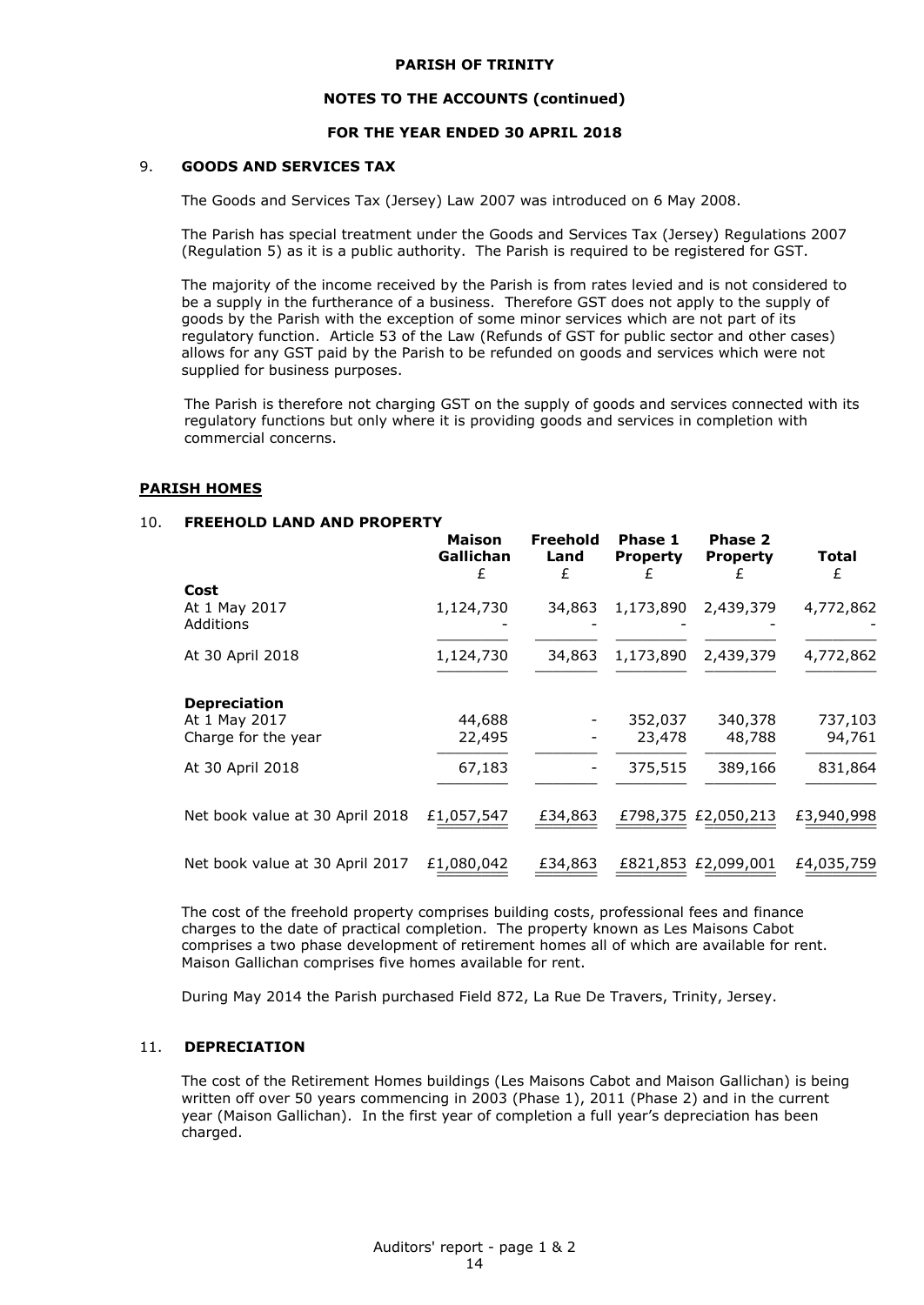#### **NOTES TO THE ACCOUNTS (continued)**

## **FOR THE YEAR ENDED 30 APRIL 2018**

## 9. **GOODS AND SERVICES TAX**

The Goods and Services Tax (Jersey) Law 2007 was introduced on 6 May 2008.

The Parish has special treatment under the Goods and Services Tax (Jersey) Regulations 2007 (Regulation 5) as it is a public authority. The Parish is required to be registered for GST.

The majority of the income received by the Parish is from rates levied and is not considered to be a supply in the furtherance of a business. Therefore GST does not apply to the supply of goods by the Parish with the exception of some minor services which are not part of its regulatory function. Article 53 of the Law (Refunds of GST for public sector and other cases) allows for any GST paid by the Parish to be refunded on goods and services which were not supplied for business purposes.

The Parish is therefore not charging GST on the supply of goods and services connected with its regulatory functions but only where it is providing goods and services in completion with commercial concerns.

#### **PARISH HOMES**

#### 10. **FREEHOLD LAND AND PROPERTY**

|                                   | <b>Maison</b><br>Gallichan<br>£ | Freehold<br>Land<br>£ | Phase 1<br><b>Property</b> | <b>Phase 2</b><br><b>Property</b><br>£ | Total<br>£ |
|-----------------------------------|---------------------------------|-----------------------|----------------------------|----------------------------------------|------------|
| Cost                              |                                 |                       |                            |                                        |            |
| At 1 May 2017<br><b>Additions</b> | 1,124,730                       | 34,863                | 1,173,890                  | 2,439,379                              | 4,772,862  |
| At 30 April 2018                  | 1,124,730                       | 34,863                | 1,173,890                  | 2,439,379                              | 4,772,862  |
| <b>Depreciation</b>               |                                 |                       |                            |                                        |            |
| At 1 May 2017                     | 44,688                          |                       | 352,037                    | 340,378                                | 737,103    |
| Charge for the year               | 22,495                          |                       | 23,478                     | 48,788                                 | 94,761     |
| At 30 April 2018                  | 67,183                          |                       | 375,515                    | 389,166                                | 831,864    |
| Net book value at 30 April 2018   | £1,057,547                      | £34,863               |                            | £798,375 £2,050,213                    | £3,940,998 |
| Net book value at 30 April 2017   | £1,080,042                      | £34,863               |                            | £821,853 £2,099,001                    | £4,035,759 |

The cost of the freehold property comprises building costs, professional fees and finance charges to the date of practical completion. The property known as Les Maisons Cabot comprises a two phase development of retirement homes all of which are available for rent. Maison Gallichan comprises five homes available for rent.

During May 2014 the Parish purchased Field 872, La Rue De Travers, Trinity, Jersey.

#### 11. **DEPRECIATION**

The cost of the Retirement Homes buildings (Les Maisons Cabot and Maison Gallichan) is being written off over 50 years commencing in 2003 (Phase 1), 2011 (Phase 2) and in the current year (Maison Gallichan). In the first year of completion a full year's depreciation has been charged.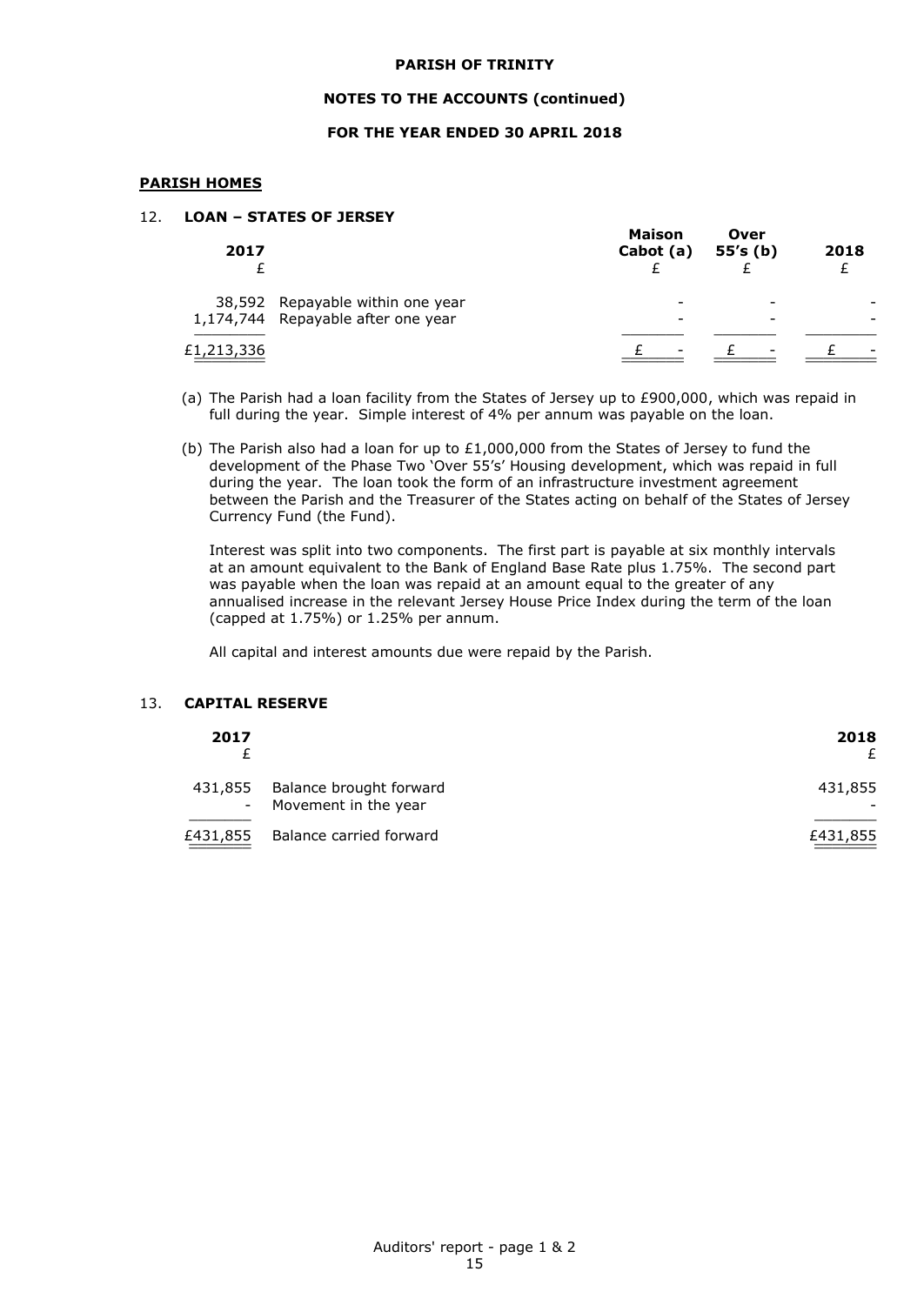#### **NOTES TO THE ACCOUNTS (continued)**

## **FOR THE YEAR ENDED 30 APRIL 2018**

#### **PARISH HOMES**

## 12. **LOAN – STATES OF JERSEY**

| 2017       |                                                                        | <b>Maison</b><br>Cabot (a) | Over<br>55's (b) | 2018 |
|------------|------------------------------------------------------------------------|----------------------------|------------------|------|
|            | 38,592 Repayable within one year<br>1,174,744 Repayable after one year | -                          |                  |      |
| £1,213,336 |                                                                        | $\overline{\phantom{0}}$   | -                | -    |

- (a) The Parish had a loan facility from the States of Jersey up to £900,000, which was repaid in full during the year. Simple interest of 4% per annum was payable on the loan.
- (b) The Parish also had a loan for up to £1,000,000 from the States of Jersey to fund the development of the Phase Two 'Over 55's' Housing development, which was repaid in full during the year. The loan took the form of an infrastructure investment agreement between the Parish and the Treasurer of the States acting on behalf of the States of Jersey Currency Fund (the Fund).

Interest was split into two components. The first part is payable at six monthly intervals at an amount equivalent to the Bank of England Base Rate plus 1.75%. The second part was payable when the loan was repaid at an amount equal to the greater of any annualised increase in the relevant Jersey House Price Index during the term of the loan (capped at 1.75%) or 1.25% per annum.

All capital and interest amounts due were repaid by the Parish.

#### 13. **CAPITAL RESERVE**

| 2017     |                                                   | 2018     |
|----------|---------------------------------------------------|----------|
| 431,855  | Balance brought forward<br>- Movement in the year | 431,855  |
| £431,855 | Balance carried forward                           | £431,855 |